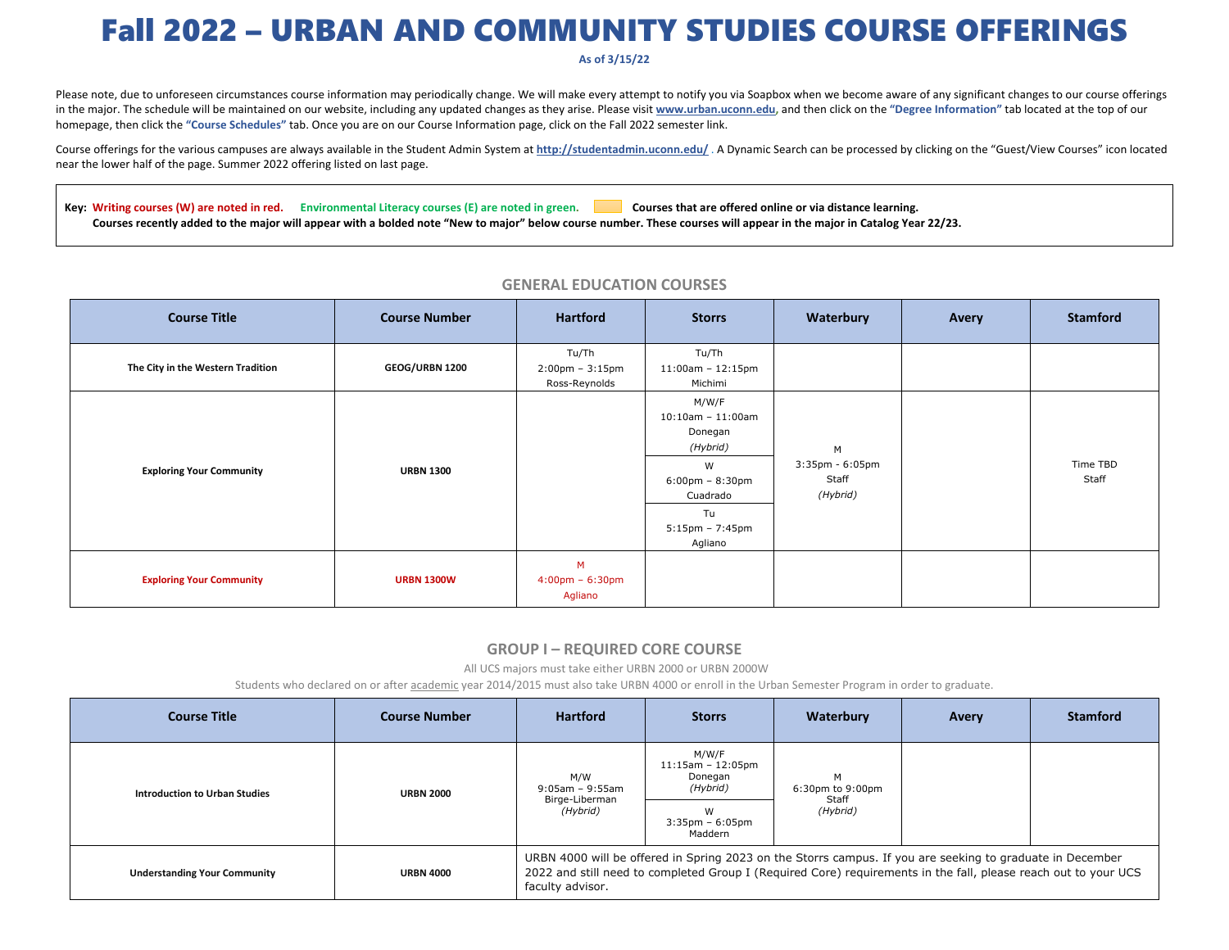# Fall 2022 – URBAN AND COMMUNITY STUDIES COURSE OFFERINGS

#### **As of 3/15/22**

Please note, due to unforeseen circumstances course information may periodically change. We will make every attempt to notify you via Soapbox when we become aware of any significant changes to our course offerings in the major. The schedule will be maintained on our website, including any updated changes as they arise. Please visit www.urban.uconn.edu, and then click on the "Degree Information" tab located at the top of our homepage, then click the **"Course Schedules"** tab. Once you are on our Course Information page, click on the Fall 2022 semester link.

Course offerings for the various campuses are always available in the Student Admin System at **http://studentadmin.uconn.edu/** . A Dynamic Search can be processed by clicking on the "Guest/View Courses" icon located near the lower half of the page. Summer 2022 offering listed on last page.

Key: Writing courses (W) are noted in red. Environmental Literacy courses (E) are noted in green. Courses that are offered online or via distance learning. Courses recently added to the major will appear with a bolded note "New to major" below course number. These courses will appear in the major in Catalog Year 22/23.

| <b>Course Title</b>               | <b>Course Number</b> | <b>Hartford</b>                                             | <b>Storrs</b>                                                                                                                                        | Waterbury                                       | Avery | <b>Stamford</b>   |
|-----------------------------------|----------------------|-------------------------------------------------------------|------------------------------------------------------------------------------------------------------------------------------------------------------|-------------------------------------------------|-------|-------------------|
| The City in the Western Tradition | GEOG/URBN 1200       | Tu/Th<br>$2:00 \text{pm} - 3:15 \text{pm}$<br>Ross-Reynolds | Tu/Th<br>$11:00$ am - $12:15$ pm<br>Michimi                                                                                                          |                                                 |       |                   |
| <b>Exploring Your Community</b>   | <b>URBN 1300</b>     |                                                             | M/W/F<br>$10:10$ am - $11:00$ am<br>Donegan<br>(Hybrid)<br>W<br>$6:00 \text{pm} - 8:30 \text{pm}$<br>Cuadrado<br>Tu<br>$5:15$ pm - 7:45pm<br>Agliano | M<br>$3:35$ pm - $6:05$ pm<br>Staff<br>(Hybrid) |       | Time TBD<br>Staff |
| <b>Exploring Your Community</b>   | <b>URBN 1300W</b>    | M<br>$4:00 \text{pm} - 6:30 \text{pm}$<br>Agliano           |                                                                                                                                                      |                                                 |       |                   |

#### **GENERAL EDUCATION COURSES**

#### **GROUP I – REQUIRED CORE COURSE**

All UCS majors must take either URBN 2000 or URBN 2000W

Students who declared on or after <u>academic</u> year 2014/2015 must also take URBN 4000 or enroll in the Urban Semester Program in order to graduate.

| <b>Course Title</b>                 | <b>Course Number</b> | <b>Hartford</b>                                                                                                                                                                                                                                  | <b>Storrs</b>                                       | Waterbury                                  | Avery | <b>Stamford</b> |  |
|-------------------------------------|----------------------|--------------------------------------------------------------------------------------------------------------------------------------------------------------------------------------------------------------------------------------------------|-----------------------------------------------------|--------------------------------------------|-------|-----------------|--|
| Introduction to Urban Studies       | <b>URBN 2000</b>     | M/W<br>9:05am - 9:55am<br>Birge-Liberman<br>(Hybrid)                                                                                                                                                                                             | M/W/F<br>$11:15am - 12:05pm$<br>Donegan<br>(Hybrid) | м<br>6:30pm to 9:00pm<br>Staff<br>(Hybrid) |       |                 |  |
|                                     |                      |                                                                                                                                                                                                                                                  | W<br>$3:35$ pm - $6:05$ pm<br>Maddern               |                                            |       |                 |  |
| <b>Understanding Your Community</b> | <b>URBN 4000</b>     | URBN 4000 will be offered in Spring 2023 on the Storrs campus. If you are seeking to graduate in December<br>2022 and still need to completed Group I (Required Core) requirements in the fall, please reach out to your UCS<br>faculty advisor. |                                                     |                                            |       |                 |  |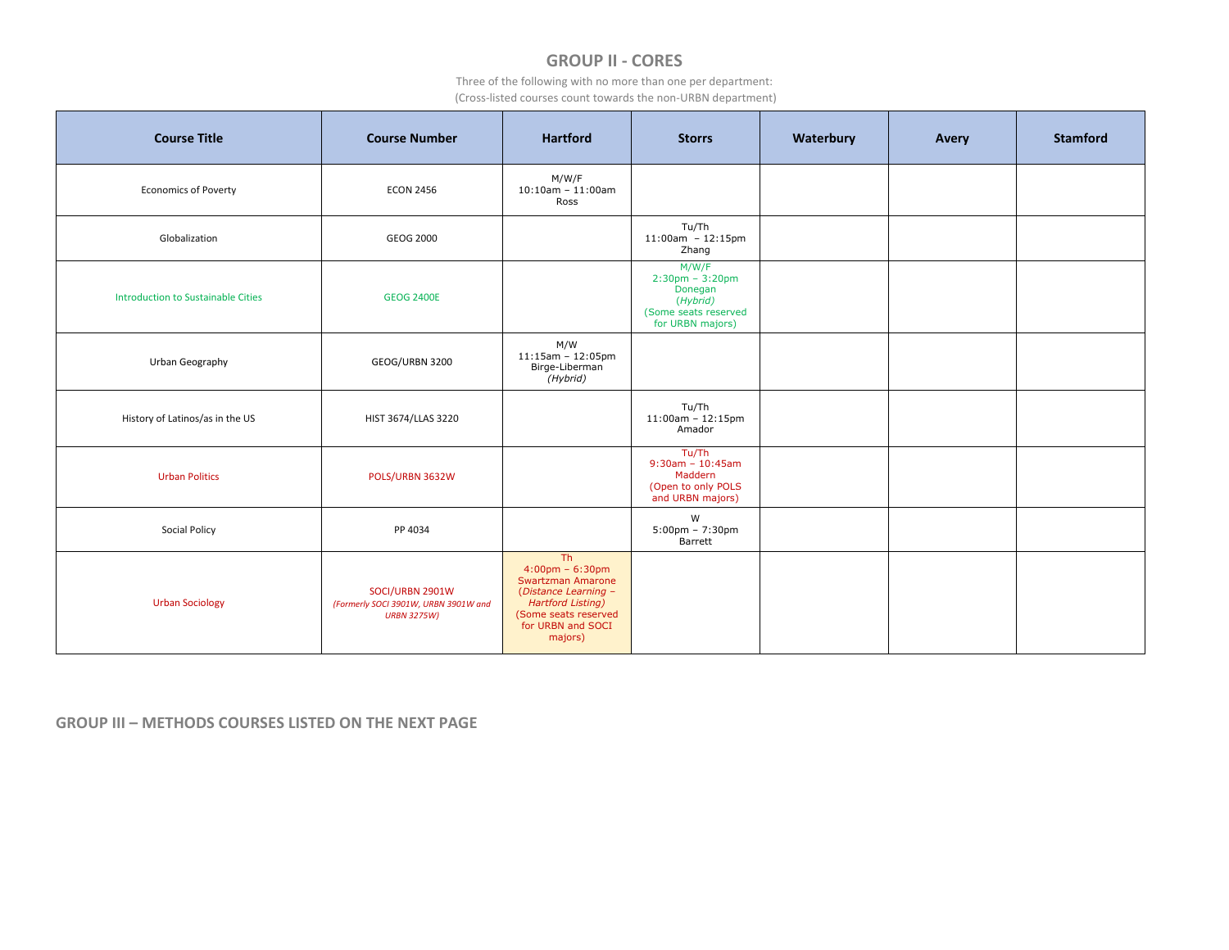## **GROUP II ‐ CORES**

Three of the following with no more than one per department: (Cross‐listed courses count towards the non‐URBN department)

| <b>Course Title</b>                | <b>Course Number</b>                                                          | <b>Hartford</b>                                                                                                                                                                              | <b>Storrs</b>                                                                                     | Waterbury | <b>Avery</b> | <b>Stamford</b> |
|------------------------------------|-------------------------------------------------------------------------------|----------------------------------------------------------------------------------------------------------------------------------------------------------------------------------------------|---------------------------------------------------------------------------------------------------|-----------|--------------|-----------------|
| <b>Economics of Poverty</b>        | <b>ECON 2456</b>                                                              | M/W/F<br>$10:10$ am - $11:00$ am<br>Ross                                                                                                                                                     |                                                                                                   |           |              |                 |
| Globalization                      | GEOG 2000                                                                     |                                                                                                                                                                                              | Tu/Th<br>$11:00am - 12:15pm$<br>Zhang                                                             |           |              |                 |
| Introduction to Sustainable Cities | <b>GEOG 2400E</b>                                                             |                                                                                                                                                                                              | M/W/F<br>$2:30$ pm - $3:20$ pm<br>Donegan<br>(Hybrid)<br>(Some seats reserved<br>for URBN majors) |           |              |                 |
| Urban Geography                    | GEOG/URBN 3200                                                                | M/W<br>$11:15$ am - $12:05$ pm<br>Birge-Liberman<br>(Hybrid)                                                                                                                                 |                                                                                                   |           |              |                 |
| History of Latinos/as in the US    | HIST 3674/LLAS 3220                                                           |                                                                                                                                                                                              | Tu/Th<br>$11:00$ am - $12:15$ pm<br>Amador                                                        |           |              |                 |
| <b>Urban Politics</b>              | POLS/URBN 3632W                                                               |                                                                                                                                                                                              | Tu/Th<br>$9:30am - 10:45am$<br>Maddern<br>(Open to only POLS<br>and URBN majors)                  |           |              |                 |
| <b>Social Policy</b>               | PP 4034                                                                       |                                                                                                                                                                                              | W<br>$5:00$ pm - 7:30pm<br>Barrett                                                                |           |              |                 |
| <b>Urban Sociology</b>             | SOCI/URBN 2901W<br>(Formerly SOCI 3901W, URBN 3901W and<br><b>URBN 3275W)</b> | Th <sub>1</sub><br>$4:00 \text{pm} - 6:30 \text{pm}$<br><b>Swartzman Amarone</b><br>(Distance Learning -<br><b>Hartford Listing)</b><br>(Some seats reserved<br>for URBN and SOCI<br>majors) |                                                                                                   |           |              |                 |

**GROUP III – METHODS COURSES LISTED ON THE NEXT PAGE**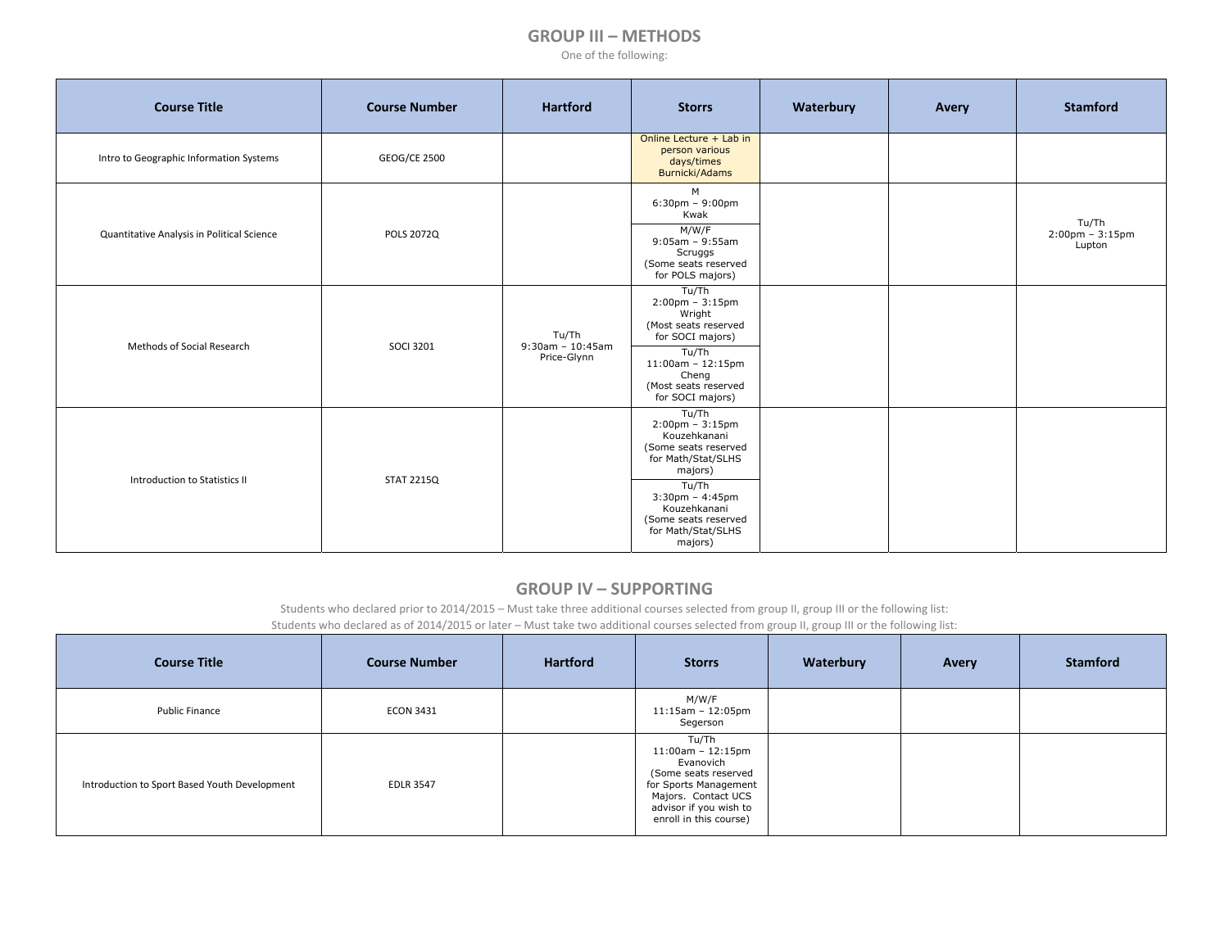#### **GROUP III – METHODS**

One of the following:

| <b>Course Title</b>                        | <b>Course Number</b> | <b>Hartford</b>                             | <b>Storrs</b>                                                                                                                                                                                                   | Waterbury | Avery | <b>Stamford</b>                          |
|--------------------------------------------|----------------------|---------------------------------------------|-----------------------------------------------------------------------------------------------------------------------------------------------------------------------------------------------------------------|-----------|-------|------------------------------------------|
| Intro to Geographic Information Systems    | GEOG/CE 2500         |                                             | Online Lecture + Lab in<br>person various<br>days/times<br>Burnicki/Adams                                                                                                                                       |           |       |                                          |
| Quantitative Analysis in Political Science | <b>POLS 2072Q</b>    |                                             | M<br>$6:30$ pm - $9:00$ pm<br>Kwak<br>M/W/F<br>$9:05am - 9:55am$<br>Scruggs<br>(Some seats reserved<br>for POLS majors)                                                                                         |           |       | Tu/Th<br>$2:00$ pm - $3:15$ pm<br>Lupton |
| Methods of Social Research                 | <b>SOCI 3201</b>     | Tu/Th<br>$9:30$ am - 10:45am<br>Price-Glynn | Tu/Th<br>$2:00$ pm - $3:15$ pm<br>Wright<br>(Most seats reserved<br>for SOCI majors)<br>Tu/Th<br>$11:00am - 12:15pm$<br>Cheng<br>(Most seats reserved<br>for SOCI majors)                                       |           |       |                                          |
| Introduction to Statistics II              | <b>STAT 2215Q</b>    |                                             | Tu/Th<br>$2:00$ pm - $3:15$ pm<br>Kouzehkanani<br>(Some seats reserved<br>for Math/Stat/SLHS<br>majors)<br>Tu/Th<br>$3:30$ pm - 4:45pm<br>Kouzehkanani<br>(Some seats reserved<br>for Math/Stat/SLHS<br>majors) |           |       |                                          |

#### **GROUP IV – SUPPORTING**

Students who declared prior to 2014/2015 – Must take three additional courses selected from group II, group III or the following list:

Students who declared as of 2014/2015 or later – Must take two additional courses selected from group II, group III or the following list:

| <b>Course Title</b>                           | <b>Course Number</b> | <b>Hartford</b> | <b>Storrs</b>                                                                                                                                                             | Waterbury | Avery | <b>Stamford</b> |
|-----------------------------------------------|----------------------|-----------------|---------------------------------------------------------------------------------------------------------------------------------------------------------------------------|-----------|-------|-----------------|
| <b>Public Finance</b>                         | <b>ECON 3431</b>     |                 | M/W/F<br>$11:15$ am - $12:05$ pm<br>Segerson                                                                                                                              |           |       |                 |
| Introduction to Sport Based Youth Development | <b>EDLR 3547</b>     |                 | Tu/Th<br>$11:00$ am - $12:15$ pm<br>Evanovich<br>(Some seats reserved<br>for Sports Management<br>Majors. Contact UCS<br>advisor if you wish to<br>enroll in this course) |           |       |                 |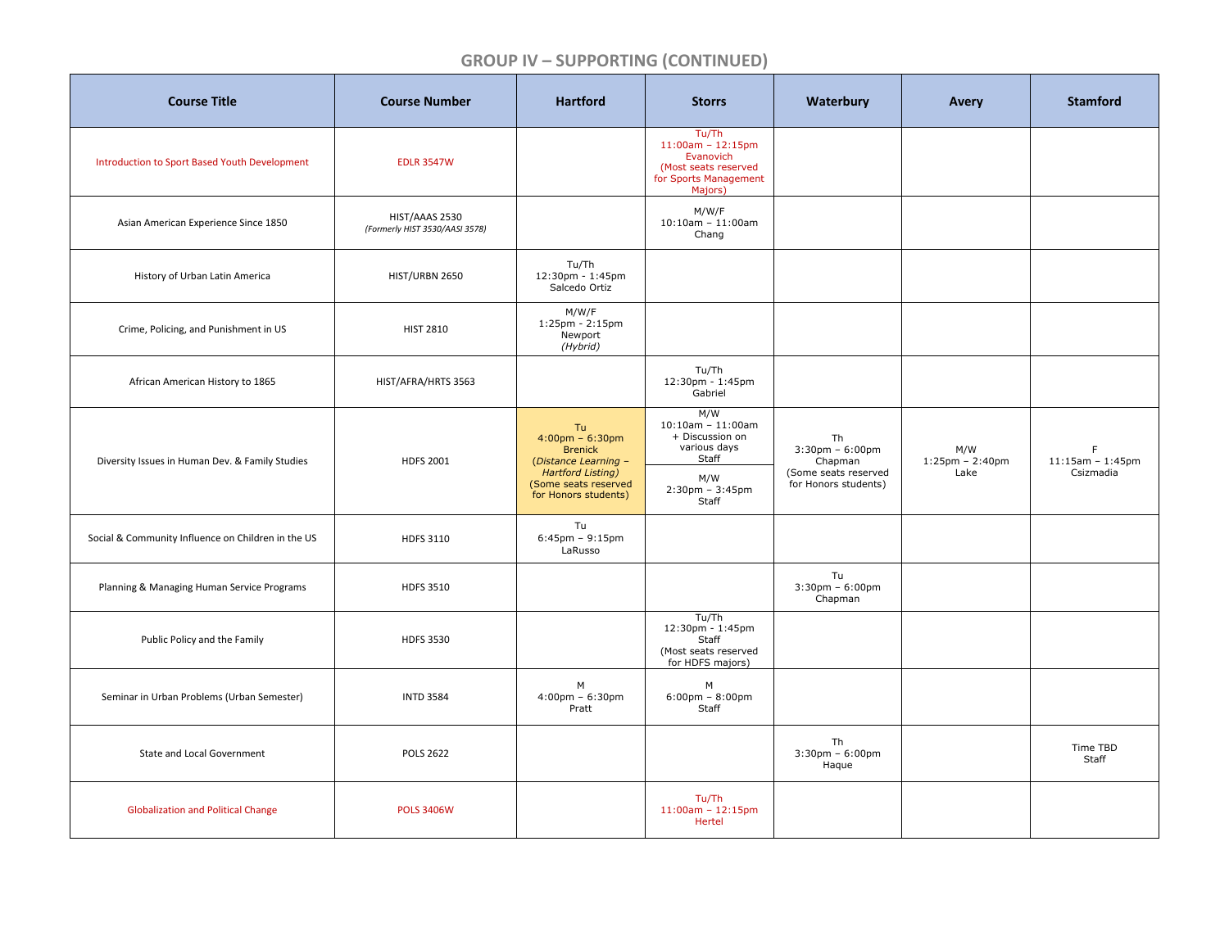## **GROUP IV – SUPPORTING (CONTINUED)**

| <b>Course Title</b>                                | <b>Course Number</b>                             | <b>Hartford</b>                                                                                                                                        | <b>Storrs</b>                                                                                                       | Waterbury                                                                              | <b>Avery</b>                      | <b>Stamford</b>                      |
|----------------------------------------------------|--------------------------------------------------|--------------------------------------------------------------------------------------------------------------------------------------------------------|---------------------------------------------------------------------------------------------------------------------|----------------------------------------------------------------------------------------|-----------------------------------|--------------------------------------|
| Introduction to Sport Based Youth Development      | <b>EDLR 3547W</b>                                |                                                                                                                                                        | Tu/Th<br>$11:00am - 12:15pm$<br>Evanovich<br>(Most seats reserved<br>for Sports Management<br>Majors)               |                                                                                        |                                   |                                      |
| Asian American Experience Since 1850               | HIST/AAAS 2530<br>(Formerly HIST 3530/AASI 3578) |                                                                                                                                                        | M/W/F<br>$10:10$ am - $11:00$ am<br>Chang                                                                           |                                                                                        |                                   |                                      |
| History of Urban Latin America                     | HIST/URBN 2650                                   | Tu/Th<br>12:30pm - 1:45pm<br>Salcedo Ortiz                                                                                                             |                                                                                                                     |                                                                                        |                                   |                                      |
| Crime, Policing, and Punishment in US              | <b>HIST 2810</b>                                 | M/W/F<br>$1:25 \text{pm} - 2:15 \text{pm}$<br>Newport<br>(Hybrid)                                                                                      |                                                                                                                     |                                                                                        |                                   |                                      |
| African American History to 1865                   | HIST/AFRA/HRTS 3563                              |                                                                                                                                                        | Tu/Th<br>12:30pm - 1:45pm<br>Gabriel                                                                                |                                                                                        |                                   |                                      |
| Diversity Issues in Human Dev. & Family Studies    | <b>HDFS 2001</b>                                 | Tu<br>$4:00 \text{pm} - 6:30 \text{pm}$<br><b>Brenick</b><br>(Distance Learning -<br>Hartford Listing)<br>(Some seats reserved<br>for Honors students) | M/W<br>$10:10$ am - $11:00$ am<br>+ Discussion on<br>various days<br>Staff<br>M/W<br>$2:30$ pm - $3:45$ pm<br>Staff | Th<br>$3:30$ pm - $6:00$ pm<br>Chapman<br>(Some seats reserved<br>for Honors students) | M/W<br>$1:25$ pm - 2:40pm<br>Lake | F<br>$11:15am - 1:45pm$<br>Csizmadia |
| Social & Community Influence on Children in the US | <b>HDFS 3110</b>                                 | Tu<br>$6:45$ pm - $9:15$ pm<br>LaRusso                                                                                                                 |                                                                                                                     |                                                                                        |                                   |                                      |
| Planning & Managing Human Service Programs         | <b>HDFS 3510</b>                                 |                                                                                                                                                        |                                                                                                                     | Tu<br>$3:30$ pm - $6:00$ pm<br>Chapman                                                 |                                   |                                      |
| Public Policy and the Family                       | <b>HDFS 3530</b>                                 |                                                                                                                                                        | Tu/Th<br>12:30pm - 1:45pm<br>Staff<br>(Most seats reserved<br>for HDFS majors)                                      |                                                                                        |                                   |                                      |
| Seminar in Urban Problems (Urban Semester)         | <b>INTD 3584</b>                                 | M<br>$4:00 \text{pm} - 6:30 \text{pm}$<br>Pratt                                                                                                        | M<br>$6:00 \text{pm} - 8:00 \text{pm}$<br>Staff                                                                     |                                                                                        |                                   |                                      |
| State and Local Government                         | <b>POLS 2622</b>                                 |                                                                                                                                                        |                                                                                                                     | Th<br>$3:30$ pm - $6:00$ pm<br>Haque                                                   |                                   | Time TBD<br>Staff                    |
| <b>Globalization and Political Change</b>          | <b>POLS 3406W</b>                                |                                                                                                                                                        | Tu/Th<br>$11:00am - 12:15pm$<br>Hertel                                                                              |                                                                                        |                                   |                                      |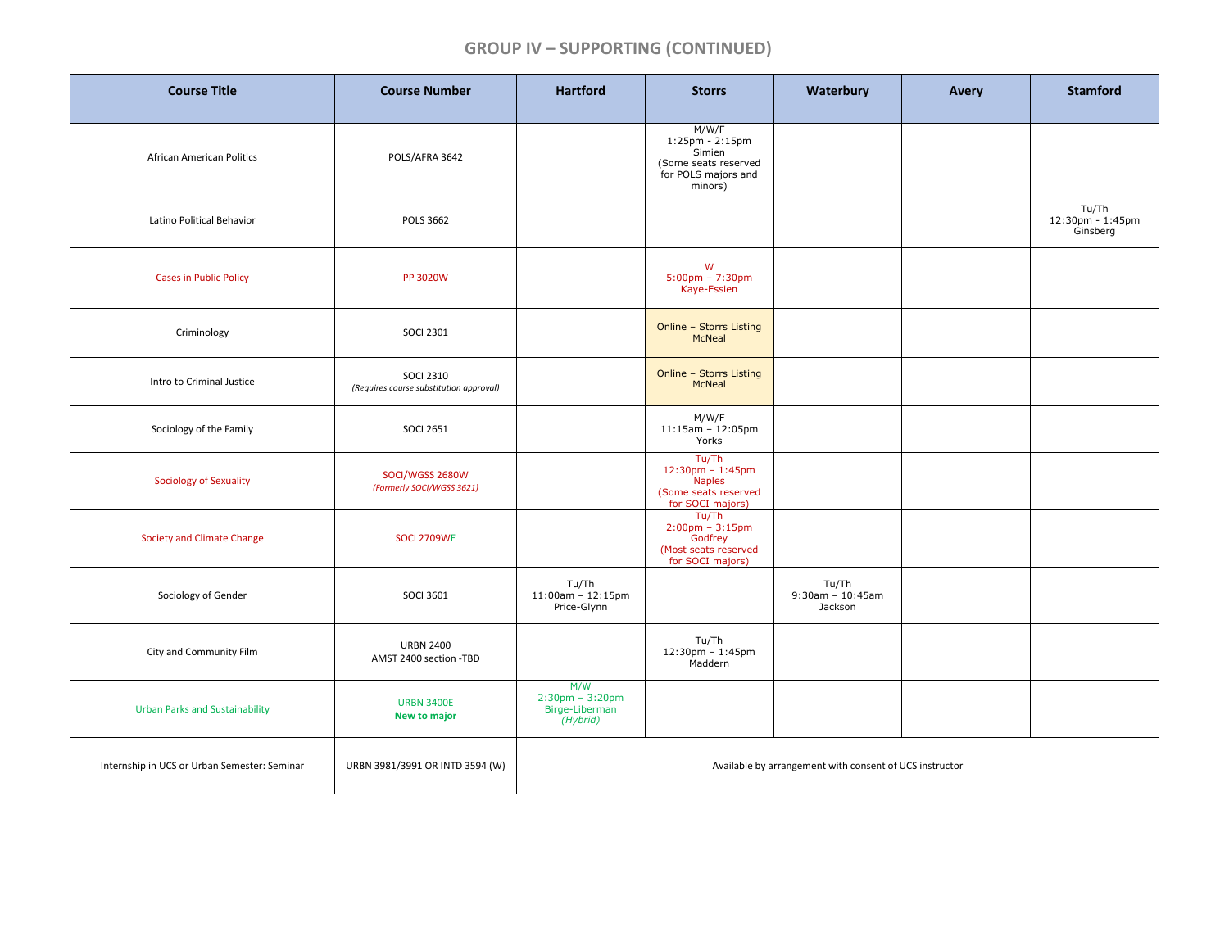## **GROUP IV – SUPPORTING (CONTINUED)**

| <b>Course Title</b>                          | <b>Course Number</b>                                        | <b>Hartford</b>                                                        | <b>Storrs</b>                                                                                                  | Waterbury                               | Avery | <b>Stamford</b>                                         |  |
|----------------------------------------------|-------------------------------------------------------------|------------------------------------------------------------------------|----------------------------------------------------------------------------------------------------------------|-----------------------------------------|-------|---------------------------------------------------------|--|
| <b>African American Politics</b>             | POLS/AFRA 3642                                              |                                                                        | M/W/F<br>$1:25 \text{pm} - 2:15 \text{pm}$<br>Simien<br>(Some seats reserved<br>for POLS majors and<br>minors) |                                         |       |                                                         |  |
| Latino Political Behavior                    | <b>POLS 3662</b>                                            |                                                                        |                                                                                                                |                                         |       | Tu/Th<br>$12:30 \text{pm} - 1:45 \text{pm}$<br>Ginsberg |  |
| <b>Cases in Public Policy</b>                | <b>PP 3020W</b>                                             |                                                                        | W<br>$5:00$ pm - 7:30pm<br>Kaye-Essien                                                                         |                                         |       |                                                         |  |
| Criminology                                  | <b>SOCI 2301</b>                                            |                                                                        | Online - Storrs Listing<br>McNeal                                                                              |                                         |       |                                                         |  |
| Intro to Criminal Justice                    | <b>SOCI 2310</b><br>(Requires course substitution approval) |                                                                        | <b>Online - Storrs Listing</b><br><b>McNeal</b>                                                                |                                         |       |                                                         |  |
| Sociology of the Family                      | <b>SOCI 2651</b>                                            |                                                                        | M/W/F<br>$11:15am - 12:05pm$<br>Yorks                                                                          |                                         |       |                                                         |  |
| <b>Sociology of Sexuality</b>                | SOCI/WGSS 2680W<br>(Formerly SOCI/WGSS 3621)                |                                                                        | Tu/Th<br>$12:30pm - 1:45pm$<br><b>Naples</b><br>(Some seats reserved<br>for SOCI majors)                       |                                         |       |                                                         |  |
| Society and Climate Change                   | <b>SOCI 2709WE</b>                                          |                                                                        | Tu/Th<br>$2:00 \text{pm} - 3:15 \text{pm}$<br>Godfrey<br>(Most seats reserved<br>for SOCI majors)              |                                         |       |                                                         |  |
| Sociology of Gender                          | <b>SOCI 3601</b>                                            | Tu/Th<br>$11:00$ am - 12:15pm<br>Price-Glynn                           |                                                                                                                | Tu/Th<br>$9:30$ am - 10:45am<br>Jackson |       |                                                         |  |
| City and Community Film                      | <b>URBN 2400</b><br>AMST 2400 section -TBD                  |                                                                        | Tu/Th<br>12:30pm - 1:45pm<br>Maddern                                                                           |                                         |       |                                                         |  |
| <b>Urban Parks and Sustainability</b>        | <b>URBN 3400E</b><br><b>New to major</b>                    | M/W<br>$2:30 \text{pm} - 3:20 \text{pm}$<br>Birge-Liberman<br>(Hybrid) |                                                                                                                |                                         |       |                                                         |  |
| Internship in UCS or Urban Semester: Seminar | URBN 3981/3991 OR INTD 3594 (W)                             | Available by arrangement with consent of UCS instructor                |                                                                                                                |                                         |       |                                                         |  |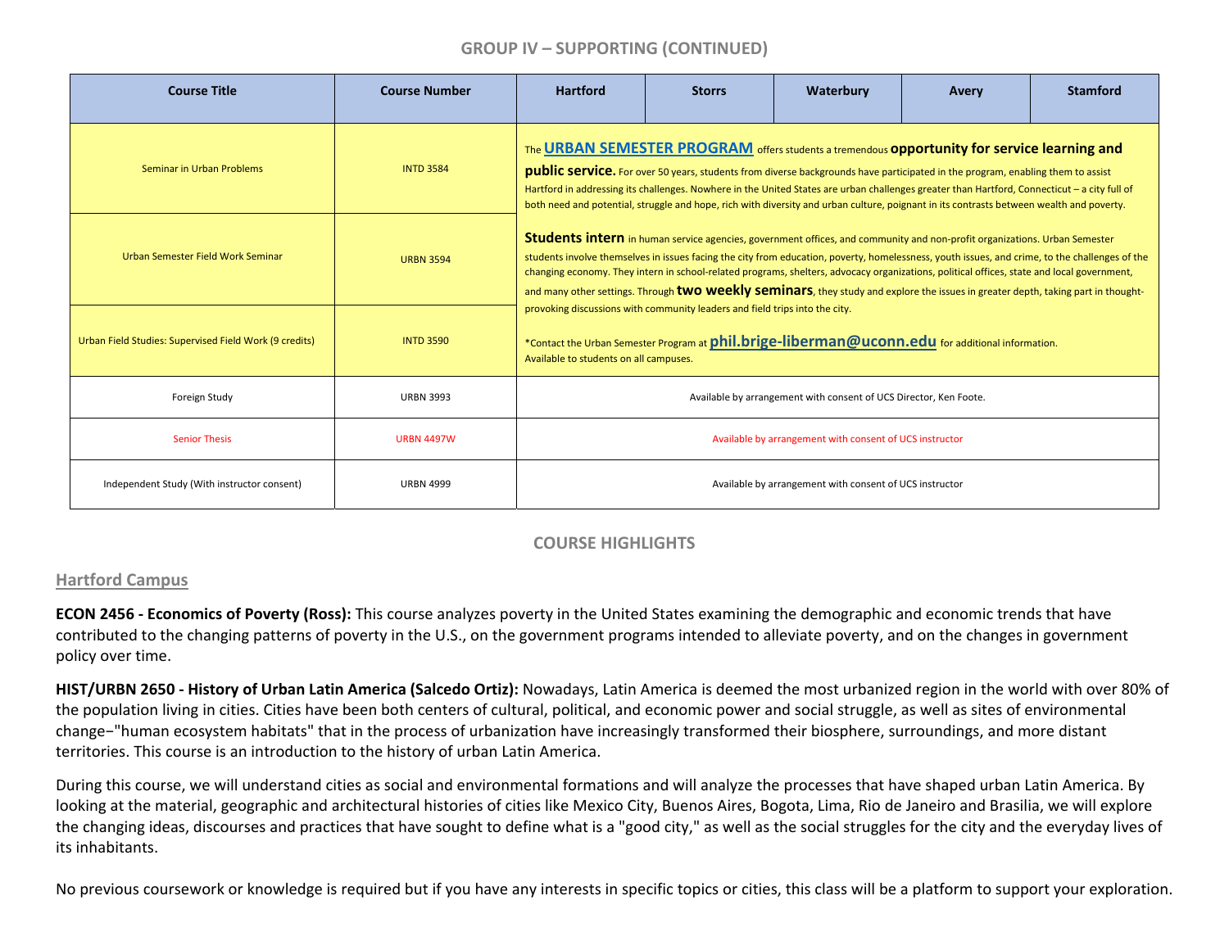## **GROUP IV – SUPPORTING (CONTINUED)**

| <b>Course Title</b>                                    | <b>Course Number</b> | <b>Hartford</b>                                                                                                                                                                                                                                                                                                                                                                                                                                                                                                                                                                                                                                                                                                                                                                                    | <b>Storrs</b> | Waterbury                                                         | Avery | <b>Stamford</b> |  |  |  |
|--------------------------------------------------------|----------------------|----------------------------------------------------------------------------------------------------------------------------------------------------------------------------------------------------------------------------------------------------------------------------------------------------------------------------------------------------------------------------------------------------------------------------------------------------------------------------------------------------------------------------------------------------------------------------------------------------------------------------------------------------------------------------------------------------------------------------------------------------------------------------------------------------|---------------|-------------------------------------------------------------------|-------|-----------------|--|--|--|
| Seminar in Urban Problems                              | <b>INTD 3584</b>     | The URBAN SEMESTER PROGRAM offers students a tremendous opportunity for service learning and<br>public service. For over 50 years, students from diverse backgrounds have participated in the program, enabling them to assist<br>Hartford in addressing its challenges. Nowhere in the United States are urban challenges greater than Hartford, Connecticut - a city full of<br>both need and potential, struggle and hope, rich with diversity and urban culture, poignant in its contrasts between wealth and poverty.                                                                                                                                                                                                                                                                         |               |                                                                   |       |                 |  |  |  |
| Urban Semester Field Work Seminar                      | <b>URBN 3594</b>     | <b>Students intern</b> in human service agencies, government offices, and community and non-profit organizations. Urban Semester<br>students involve themselves in issues facing the city from education, poverty, homelessness, youth issues, and crime, to the challenges of the<br>changing economy. They intern in school-related programs, shelters, advocacy organizations, political offices, state and local government,<br>and many other settings. Through two weekly seminars, they study and explore the issues in greater depth, taking part in thought-<br>provoking discussions with community leaders and field trips into the city.<br>*Contact the Urban Semester Program at phil.brige-liberman@uconn.edu for additional information.<br>Available to students on all campuses. |               |                                                                   |       |                 |  |  |  |
| Urban Field Studies: Supervised Field Work (9 credits) | <b>INTD 3590</b>     |                                                                                                                                                                                                                                                                                                                                                                                                                                                                                                                                                                                                                                                                                                                                                                                                    |               |                                                                   |       |                 |  |  |  |
| Foreign Study                                          | <b>URBN 3993</b>     |                                                                                                                                                                                                                                                                                                                                                                                                                                                                                                                                                                                                                                                                                                                                                                                                    |               | Available by arrangement with consent of UCS Director, Ken Foote. |       |                 |  |  |  |
| <b>Senior Thesis</b>                                   | <b>URBN 4497W</b>    | Available by arrangement with consent of UCS instructor                                                                                                                                                                                                                                                                                                                                                                                                                                                                                                                                                                                                                                                                                                                                            |               |                                                                   |       |                 |  |  |  |
| Independent Study (With instructor consent)            | <b>URBN 4999</b>     |                                                                                                                                                                                                                                                                                                                                                                                                                                                                                                                                                                                                                                                                                                                                                                                                    |               | Available by arrangement with consent of UCS instructor           |       |                 |  |  |  |

## **COURSE HIGHLIGHTS**

## **Hartford Campus**

**ECON 2456 ‐ Economics of Poverty (Ross):** This course analyzes poverty in the United States examining the demographic and economic trends that have contributed to the changing patterns of poverty in the U.S., on the government programs intended to alleviate poverty, and on the changes in government policy over time.

HIST/URBN 2650 - History of Urban Latin America (Salcedo Ortiz): Nowadays, Latin America is deemed the most urbanized region in the world with over 80% of the population living in cities. Cities have been both centers of cultural, political, and economic power and social struggle, as well as sites of environmental change−"human ecosystem habitats" that in the process of urbanization have increasingly transformed their biosphere, surroundings, and more distant territories. This course is an introduction to the history of urban Latin America.

During this course, we will understand cities as social and environmental formations and will analyze the processes that have shaped urban Latin America. By looking at the material, geographic and architectural histories of cities like Mexico City, Buenos Aires, Bogota, Lima, Rio de Janeiro and Brasilia, we will explore the changing ideas, discourses and practices that have sought to define what is <sup>a</sup> "good city," as well as the social struggles for the city and the everyday lives of its inhabitants.

No previous coursework or knowledge is required but if you have any interests in specific topics or cities, this class will be <sup>a</sup> platform to support your exploration.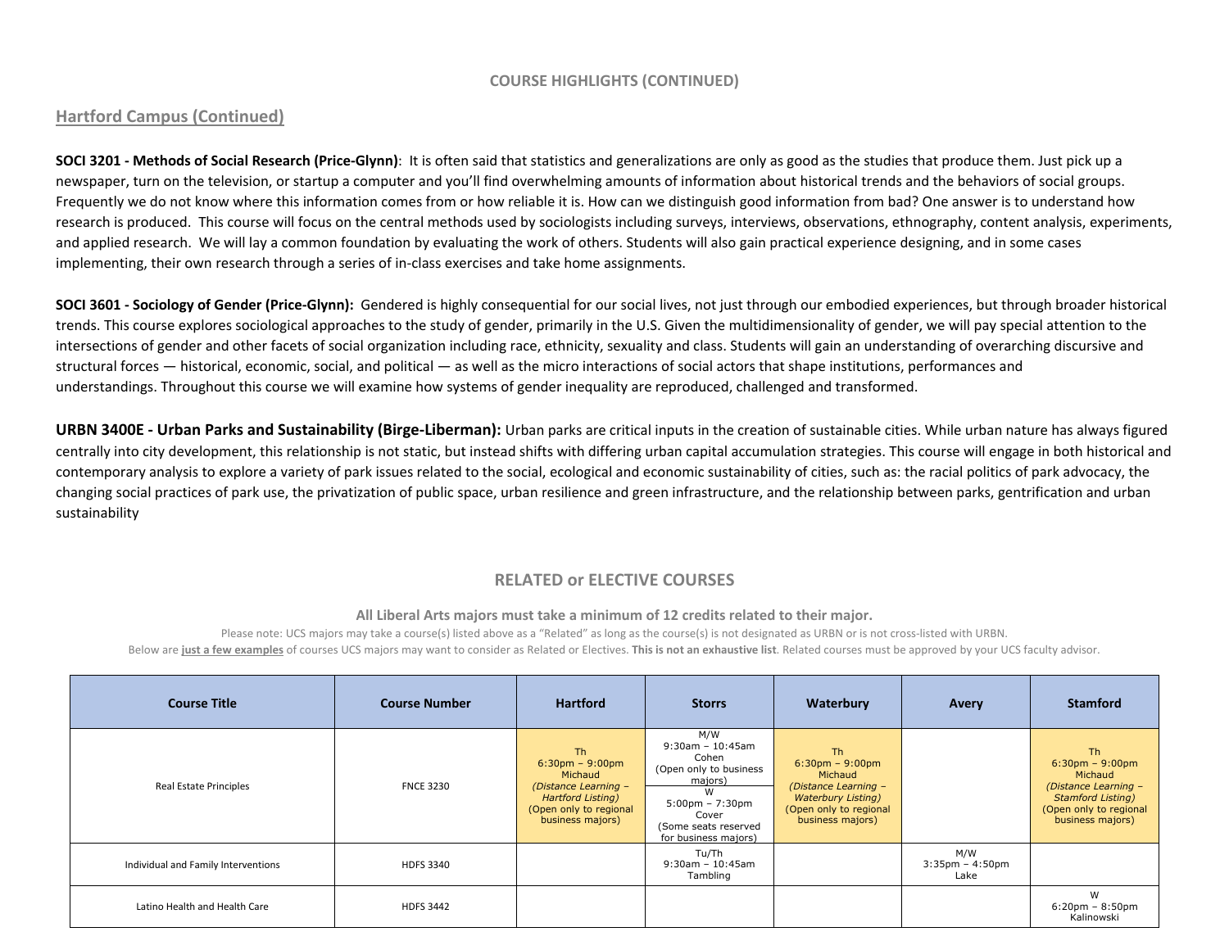#### **COURSE HIGHLIGHTS (CONTINUED)**

#### **Hartford Campus (Continued)**

SOCI 3201 - Methods of Social Research (Price-Glynn): It is often said that statistics and generalizations are only as good as the studies that produce them. Just pick up a newspaper, turn on the television, or startup <sup>a</sup> computer and you'll find overwhelming amounts of information about historical trends and the behaviors of social groups. Frequently we do not know where this information comes from or how reliable it is. How can we distinguish good information from bad? One answer is to understand how research is produced. This course will focus on the central methods used by sociologists including surveys, interviews, observations, ethnography, content analysis, experiments, and applied research. We will lay <sup>a</sup> common foundation by evaluating the work of others. Students will also gain practical experience designing, and in some cases implementing, their own research through a series of in-class exercises and take home assignments.

SOCI 3601 - Sociology of Gender (Price-Glynn): Gendered is highly consequential for our social lives, not just through our embodied experiences, but through broader historical trends. This course explores sociological approaches to the study of gender, primarily in the U.S. Given the multidimensionality of gender, we will pay special attention to the intersections of gender and other facets of social organization including race, ethnicity, sexuality and class. Students will gain an understanding of overarching discursive and structural forces — historical, economic, social, and political — as well as the micro interactions of social actors that shape institutions, performances and understandings. Throughout this course we will examine how systems of gender inequality are reproduced, challenged and transformed.

URBN 3400E - Urban Parks and Sustainability (Birge-Liberman): Urban parks are critical inputs in the creation of sustainable cities. While urban nature has always figured centrally into city development, this relationship is not static, but instead shifts with differing urban capital accumulation strategies. This course will engage in both historical and contemporary analysis to explore <sup>a</sup> variety of park issues related to the social, ecological and economic sustainability of cities, such as: the racial politics of park advocacy, the changing social practices of park use, the privatization of public space, urban resilience and green infrastructure, and the relationship between parks, gentrification and urban sustainability

## **RELATED or ELECTIVE COURSES**

**All Liberal Arts majors must take <sup>a</sup> minimum of 12 credits related to their major.**

Please note: UCS majors may take <sup>a</sup> course(s) listed above as <sup>a</sup> "Related" as long as the course(s) is not designated as URBN or is not cross‐listed with URBN. Below are just a few examples of courses UCS majors may want to consider as Related or Electives. This is not an exhaustive list. Related courses must be approved by your UCS faculty advisor.

| <b>Course Title</b>                 | <b>Course Number</b> | <b>Hartford</b>                                                                                                                 | <b>Storrs</b>                                                                                                                                                          | Waterbury                                                                                                                                              | Avery                             | <b>Stamford</b>                                                                                                                              |
|-------------------------------------|----------------------|---------------------------------------------------------------------------------------------------------------------------------|------------------------------------------------------------------------------------------------------------------------------------------------------------------------|--------------------------------------------------------------------------------------------------------------------------------------------------------|-----------------------------------|----------------------------------------------------------------------------------------------------------------------------------------------|
| Real Estate Principles              | <b>FNCE 3230</b>     | Th.<br>$6:30$ pm – 9:00pm<br>Michaud<br>(Distance Learning -<br>Hartford Listing)<br>(Open only to regional<br>business majors) | M/W<br>$9:30$ am - 10:45am<br>Cohen<br>(Open only to business<br>majors)<br>$5:00 \text{pm} - 7:30 \text{pm}$<br>Cover<br>(Some seats reserved<br>for business majors) | Th.<br>$6:30 \text{pm} - 9:00 \text{pm}$<br>Michaud<br>(Distance Learning -<br><b>Waterbury Listing)</b><br>(Open only to regional<br>business majors) |                                   | <b>Th</b><br>$6:30$ pm - 9:00pm<br>Michaud<br>(Distance Learning -<br><b>Stamford Listing)</b><br>(Open only to regional<br>business majors) |
| Individual and Family Interventions | <b>HDFS 3340</b>     |                                                                                                                                 | Tu/Th<br>$9:30$ am - 10:45am<br>Tambling                                                                                                                               |                                                                                                                                                        | M/W<br>$3:35$ pm - 4:50pm<br>Lake |                                                                                                                                              |
| Latino Health and Health Care       | <b>HDFS 3442</b>     |                                                                                                                                 |                                                                                                                                                                        |                                                                                                                                                        |                                   | W<br>$6:20$ pm - $8:50$ pm<br>Kalinowski                                                                                                     |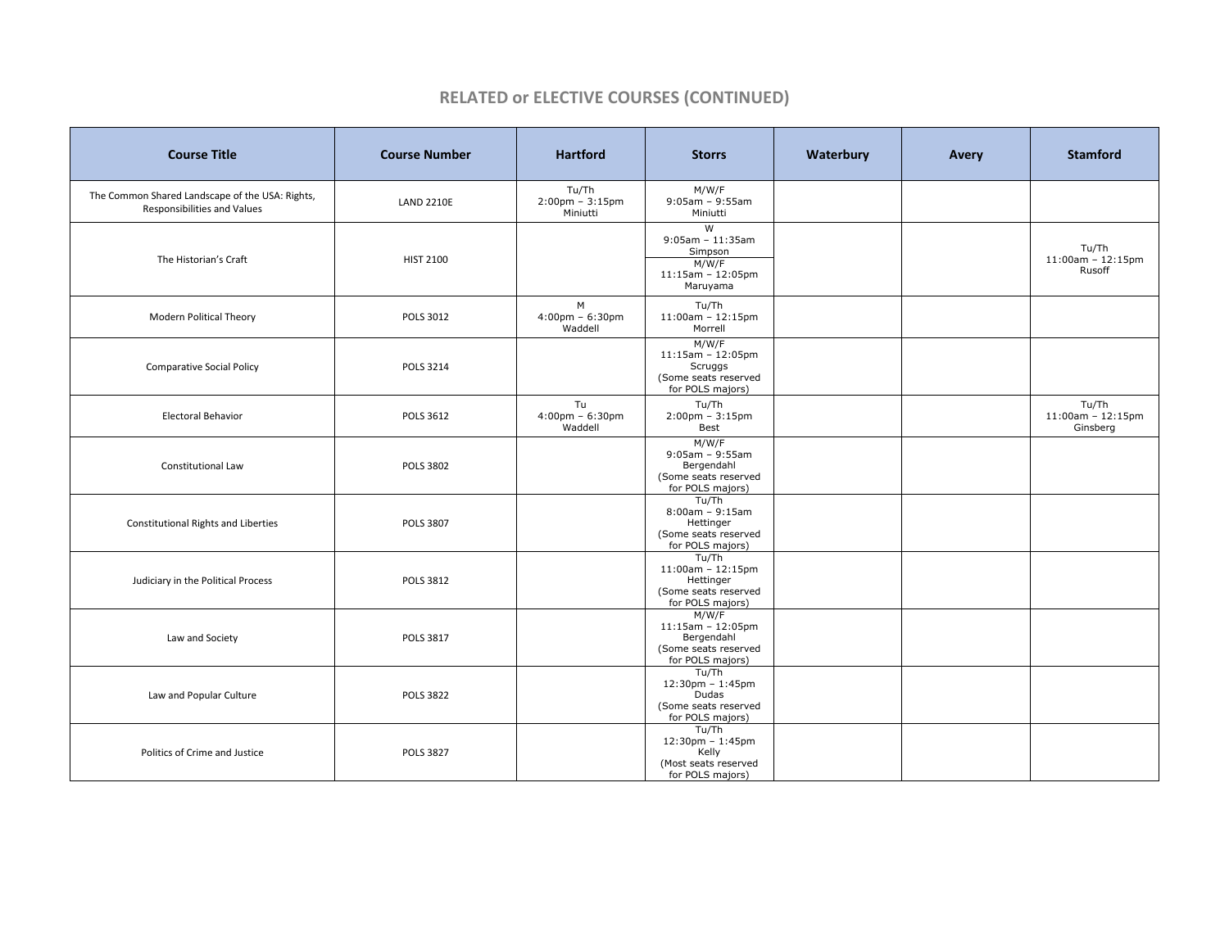#### **RELATED or ELECTIVE COURSES (CONTINUED)**

| <b>Course Title</b>                                                            | <b>Course Number</b> | <b>Hartford</b>                                        | <b>Storrs</b>                                                                                           | Waterbury | Avery | <b>Stamford</b>                          |
|--------------------------------------------------------------------------------|----------------------|--------------------------------------------------------|---------------------------------------------------------------------------------------------------------|-----------|-------|------------------------------------------|
| The Common Shared Landscape of the USA: Rights,<br>Responsibilities and Values | <b>LAND 2210E</b>    | Tu/Th<br>$2:00 \text{pm} - 3:15 \text{pm}$<br>Miniutti | M/W/F<br>$9:05am - 9:55am$<br>Miniutti                                                                  |           |       |                                          |
| The Historian's Craft                                                          | HIST 2100            |                                                        | W<br>$9:05am - 11:35am$<br>Simpson<br>M/W/F<br>$11:15am - 12:05pm$<br>Maruyama                          |           |       | Tu/Th<br>$11:00am - 12:15pm$<br>Rusoff   |
| <b>Modern Political Theory</b>                                                 | POLS 3012            | M<br>$4:00 \text{pm} - 6:30 \text{pm}$<br>Waddell      | Tu/Th<br>$11:00am - 12:15pm$<br>Morrell                                                                 |           |       |                                          |
| <b>Comparative Social Policy</b>                                               | <b>POLS 3214</b>     |                                                        | M/W/F<br>$11:15am - 12:05pm$<br>Scruggs<br>(Some seats reserved<br>for POLS majors)                     |           |       |                                          |
| <b>Electoral Behavior</b>                                                      | POLS 3612            | Tu<br>$4:00 \text{pm} - 6:30 \text{pm}$<br>Waddell     | Tu/Th<br>$2:00 \text{pm} - 3:15 \text{pm}$<br>Best                                                      |           |       | Tu/Th<br>$11:00am - 12:15pm$<br>Ginsberg |
| Constitutional Law                                                             | <b>POLS 3802</b>     |                                                        | M/W/F<br>$9:05am - 9:55am$<br>Bergendahl<br>(Some seats reserved<br>for POLS majors)                    |           |       |                                          |
| <b>Constitutional Rights and Liberties</b>                                     | <b>POLS 3807</b>     |                                                        | Tu/Th<br>$8:00am - 9:15am$<br>Hettinger<br>(Some seats reserved<br>for POLS majors)                     |           |       |                                          |
| Judiciary in the Political Process                                             | <b>POLS 3812</b>     |                                                        | Tu/Th<br>$11:00am - 12:15pm$<br>Hettinger<br>(Some seats reserved<br>for POLS majors)                   |           |       |                                          |
| Law and Society                                                                | <b>POLS 3817</b>     |                                                        | M/W/F<br>$11:15am - 12:05pm$<br>Bergendahl<br>(Some seats reserved<br>for POLS majors)                  |           |       |                                          |
| Law and Popular Culture                                                        | <b>POLS 3822</b>     |                                                        | Tu/Th<br>$12:30 \text{pm} - 1:45 \text{pm}$<br><b>Dudas</b><br>(Some seats reserved<br>for POLS majors) |           |       |                                          |
| Politics of Crime and Justice                                                  | <b>POLS 3827</b>     |                                                        | Tu/Th<br>12:30pm - 1:45pm<br>Kelly<br>(Most seats reserved<br>for POLS majors)                          |           |       |                                          |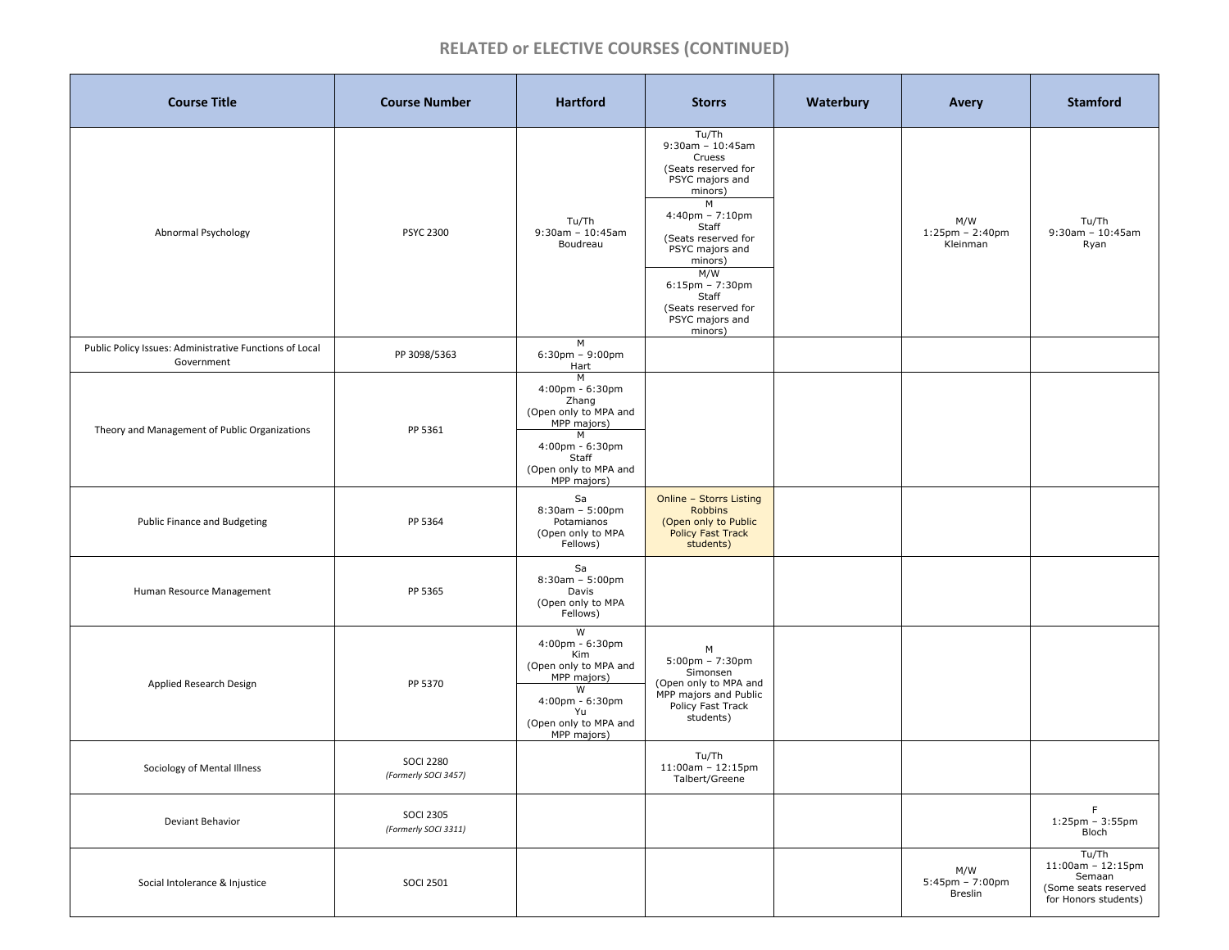## **RELATED or ELECTIVE COURSES (CONTINUED)**

| <b>Course Title</b>                                                   | <b>Course Number</b>                     | <b>Hartford</b>                                                                                                                                                  | <b>Storrs</b>                                                                                                                                                                                                                                                                   | Waterbury | Avery                                               | <b>Stamford</b>                                                                            |
|-----------------------------------------------------------------------|------------------------------------------|------------------------------------------------------------------------------------------------------------------------------------------------------------------|---------------------------------------------------------------------------------------------------------------------------------------------------------------------------------------------------------------------------------------------------------------------------------|-----------|-----------------------------------------------------|--------------------------------------------------------------------------------------------|
| Abnormal Psychology                                                   | <b>PSYC 2300</b>                         | Tu/Th<br>$9:30am - 10:45am$<br>Boudreau                                                                                                                          | Tu/Th<br>$9:30$ am - 10:45am<br>Cruess<br>(Seats reserved for<br>PSYC majors and<br>minors)<br>M<br>$4:40$ pm - 7:10pm<br>Staff<br>(Seats reserved for<br>PSYC majors and<br>minors)<br>M/W<br>$6:15$ pm - 7:30pm<br>Staff<br>(Seats reserved for<br>PSYC majors and<br>minors) |           | M/W<br>$1:25$ pm - 2:40pm<br>Kleinman               | Tu/Th<br>$9:30$ am - 10:45am<br>Ryan                                                       |
| Public Policy Issues: Administrative Functions of Local<br>Government | PP 3098/5363                             | M<br>$6:30$ pm - 9:00pm<br>Hart                                                                                                                                  |                                                                                                                                                                                                                                                                                 |           |                                                     |                                                                                            |
| Theory and Management of Public Organizations                         | PP 5361                                  | M<br>$4:00 \text{pm} - 6:30 \text{pm}$<br>Zhang<br>(Open only to MPA and<br>MPP majors)<br>M<br>4:00pm - 6:30pm<br>Staff<br>(Open only to MPA and<br>MPP majors) |                                                                                                                                                                                                                                                                                 |           |                                                     |                                                                                            |
| Public Finance and Budgeting                                          | PP 5364                                  | Sa<br>$8:30am - 5:00pm$<br>Potamianos<br>(Open only to MPA<br>Fellows)                                                                                           | Online - Storrs Listing<br><b>Robbins</b><br>(Open only to Public<br><b>Policy Fast Track</b><br>students)                                                                                                                                                                      |           |                                                     |                                                                                            |
| Human Resource Management                                             | PP 5365                                  | Sa<br>$8:30am - 5:00pm$<br>Davis<br>(Open only to MPA<br>Fellows)                                                                                                |                                                                                                                                                                                                                                                                                 |           |                                                     |                                                                                            |
| Applied Research Design                                               | PP 5370                                  | W<br>$4:00 \text{pm} - 6:30 \text{pm}$<br>Kim<br>(Open only to MPA and<br>MPP majors)<br>W<br>4:00pm - 6:30pm<br>Yu<br>(Open only to MPA and<br>MPP majors)      | м<br>$5:00 \text{pm} - 7:30 \text{pm}$<br>Simonsen<br>(Open only to MPA and<br>MPP majors and Public<br>Policy Fast Track<br>students)                                                                                                                                          |           |                                                     |                                                                                            |
| Sociology of Mental Illness                                           | <b>SOCI 2280</b><br>(Formerly SOCI 3457) |                                                                                                                                                                  | Tu/Th<br>$11:00$ am - $12:15$ pm<br>Talbert/Greene                                                                                                                                                                                                                              |           |                                                     |                                                                                            |
| Deviant Behavior                                                      | <b>SOCI 2305</b><br>(Formerly SOCI 3311) |                                                                                                                                                                  |                                                                                                                                                                                                                                                                                 |           |                                                     | F.<br>$1:25$ pm - $3:55$ pm<br>Bloch                                                       |
| Social Intolerance & Injustice                                        | <b>SOCI 2501</b>                         |                                                                                                                                                                  |                                                                                                                                                                                                                                                                                 |           | M/W<br>$5:45 \text{pm} - 7:00 \text{pm}$<br>Breslin | Tu/Th<br>$11:00$ am - $12:15$ pm<br>Semaan<br>(Some seats reserved<br>for Honors students) |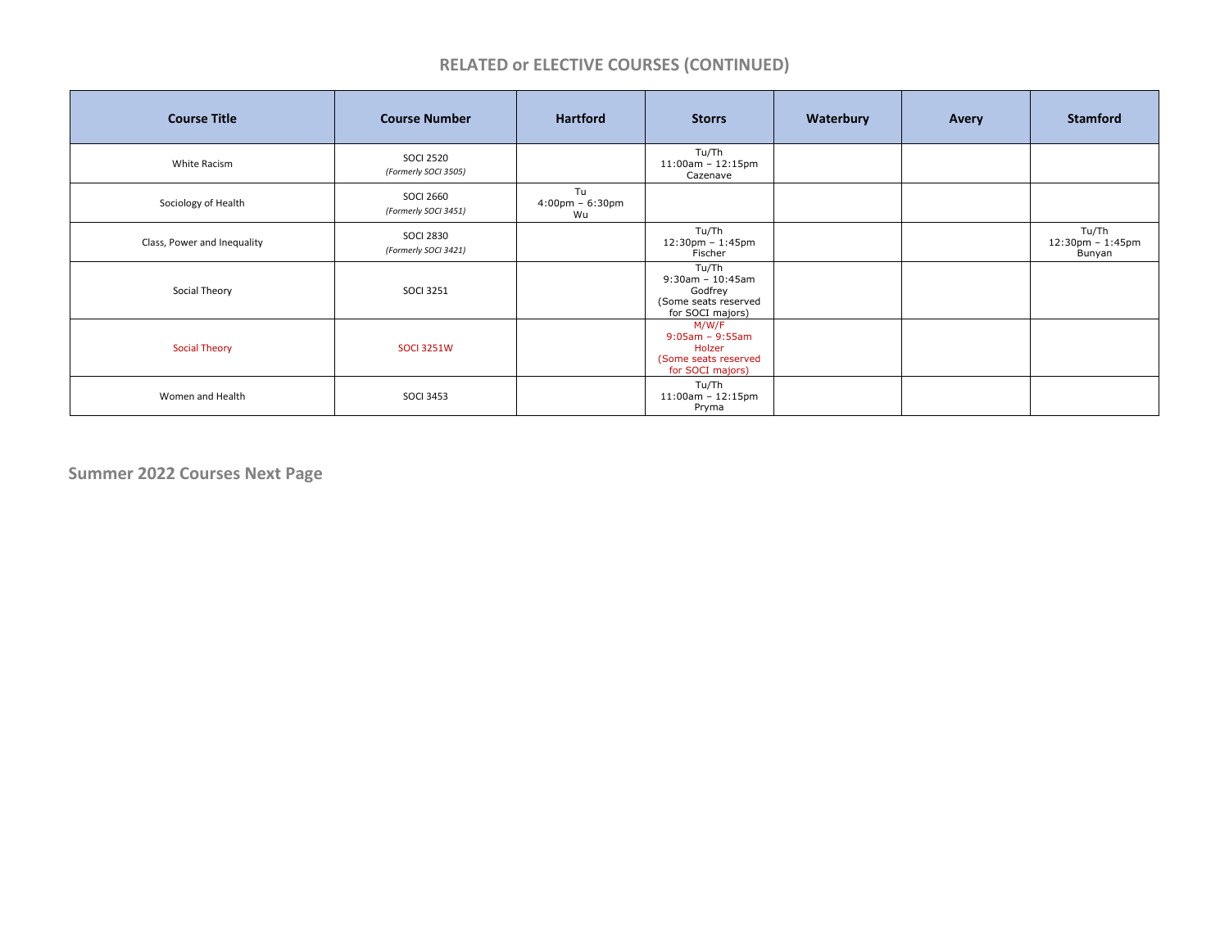## **RELATED or ELECTIVE COURSES (CONTINUED)**

| <b>Course Title</b>         | <b>Course Number</b>                     | <b>Hartford</b>                               | <b>Storrs</b>                                                                       | Waterbury | Avery | <b>Stamford</b>                     |
|-----------------------------|------------------------------------------|-----------------------------------------------|-------------------------------------------------------------------------------------|-----------|-------|-------------------------------------|
| White Racism                | <b>SOCI 2520</b><br>(Formerly SOCI 3505) |                                               | Tu/Th<br>$11:00$ am - $12:15$ pm<br>Cazenave                                        |           |       |                                     |
| Sociology of Health         | <b>SOCI 2660</b><br>(Formerly SOCI 3451) | Tu<br>$4:00 \text{pm} - 6:30 \text{pm}$<br>Wu |                                                                                     |           |       |                                     |
| Class, Power and Inequality | <b>SOCI 2830</b><br>(Formerly SOCI 3421) |                                               | Tu/Th<br>12:30pm - 1:45pm<br>Fischer                                                |           |       | Tu/Th<br>12:30pm - 1:45pm<br>Bunyan |
| Social Theory               | <b>SOCI 3251</b>                         |                                               | Tu/Th<br>$9:30$ am - 10:45am<br>Godfrey<br>(Some seats reserved<br>for SOCI majors) |           |       |                                     |
| <b>Social Theory</b>        | <b>SOCI 3251W</b>                        |                                               | M/W/F<br>$9:05am - 9:55am$<br>Holzer<br>(Some seats reserved<br>for SOCI majors)    |           |       |                                     |
| Women and Health            | <b>SOCI 3453</b>                         |                                               | Tu/Th<br>$11:00$ am - $12:15$ pm<br>Pryma                                           |           |       |                                     |

**Summer 2022 Courses Next Page**